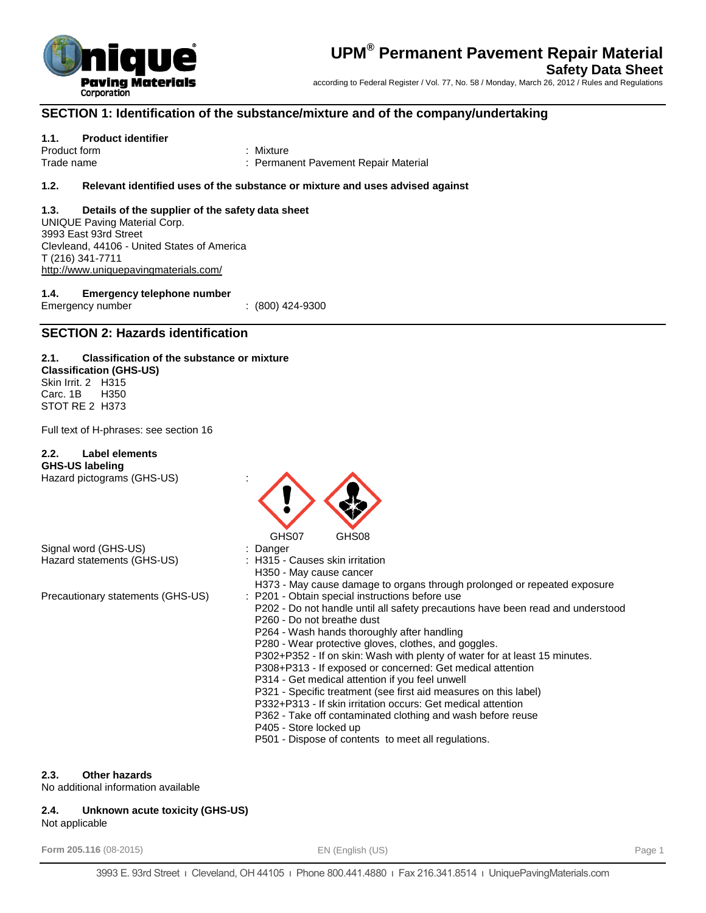

## **SECTION 1: Identification of the substance/mixture and of the company/undertaking**

#### **1.1. Product identifier**

Product form **: Mixture** Trade name : Permanent Pavement Repair Material

#### **1.2. Relevant identified uses of the substance or mixture and uses advised against**

#### **1.3. Details of the supplier of the safety data sheet** UNIQUE Paving Material Corp. 3993 East 93rd Street Clevleand, 44106 - United States of America T (216) 341-7711 <http://www.uniquepavingmaterials.com/>

**1.4. Emergency telephone number** Emergency number : (800) 424-9300

## **SECTION 2: Hazards identification**

#### **2.1. Classification of the substance or mixture Classification (GHS-US)** Skin Irrit. 2 H315 Carc. 1B H350

Full text of H-phrases: see section 16

#### **2.2. Label elements**

STOT RE 2 H373

**GHS-US labeling** Hazard pictograms (GHS-US) :

Signal word (GHS-US) : Danger Hazard statements (GHS-US) : H315 - Causes skin irritation



- 
- 
- H350 May cause cancer
- H373 May cause damage to organs through prolonged or repeated exposure
- Precautionary statements (GHS-US) : P201 Obtain special instructions before use
	- P202 Do not handle until all safety precautions have been read and understood
	- P260 Do not breathe dust
	- P264 Wash hands thoroughly after handling
	- P280 Wear protective gloves, clothes, and goggles.
	- P302+P352 If on skin: Wash with plenty of water for at least 15 minutes.
	- P308+P313 If exposed or concerned: Get medical attention
	- P314 Get medical attention if you feel unwell
	- P321 Specific treatment (see first aid measures on this label)
	- P332+P313 If skin irritation occurs: Get medical attention
	- P362 Take off contaminated clothing and wash before reuse
	- P405 Store locked up
	- P501 Dispose of contents to meet all regulations.

## **2.3. Other hazards**

No additional information available

## **2.4. Unknown acute toxicity (GHS-US)**

Not applicable

**Form 205.116** (08-2015) **EN (English (US) EN** (English (US) **EN** (English (US)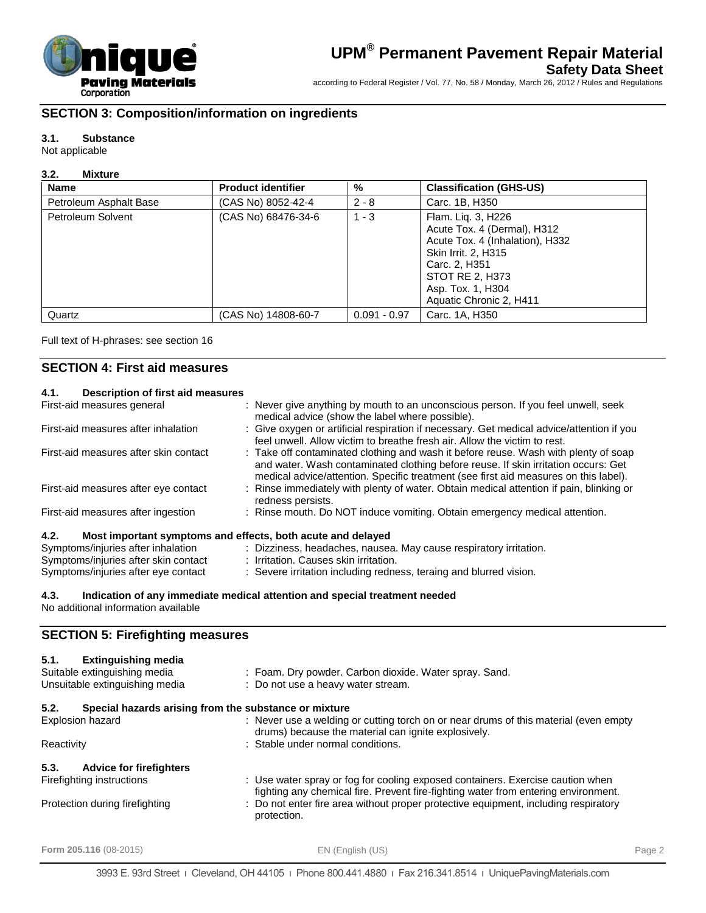

## **SECTION 3: Composition/information on ingredients**

### **3.1. Substance**

Not applicable

#### **3.2. Mixture**

| <b>Name</b>            | <b>Product identifier</b> | %              | <b>Classification (GHS-US)</b>                                                                                                                                                                  |
|------------------------|---------------------------|----------------|-------------------------------------------------------------------------------------------------------------------------------------------------------------------------------------------------|
| Petroleum Asphalt Base | (CAS No) 8052-42-4        | $2 - 8$        | Carc. 1B, H350                                                                                                                                                                                  |
| Petroleum Solvent      | (CAS No) 68476-34-6       | $1 - 3$        | Flam. Lig. 3, H226<br>Acute Tox. 4 (Dermal), H312<br>Acute Tox. 4 (Inhalation), H332<br>Skin Irrit. 2, H315<br>Carc. 2, H351<br>STOT RE 2, H373<br>Asp. Tox. 1, H304<br>Aquatic Chronic 2, H411 |
| Quartz                 | (CAS No) 14808-60-7       | $0.091 - 0.97$ | Carc. 1A, H350                                                                                                                                                                                  |

Full text of H-phrases: see section 16

## **SECTION 4: First aid measures**

| Description of first aid measures<br>4.1.                           |                                                                                                                                                                                                                                                                   |
|---------------------------------------------------------------------|-------------------------------------------------------------------------------------------------------------------------------------------------------------------------------------------------------------------------------------------------------------------|
| First-aid measures general                                          | : Never give anything by mouth to an unconscious person. If you feel unwell, seek<br>medical advice (show the label where possible).                                                                                                                              |
| First-aid measures after inhalation                                 | : Give oxygen or artificial respiration if necessary. Get medical advice/attention if you<br>feel unwell. Allow victim to breathe fresh air. Allow the victim to rest.                                                                                            |
| First-aid measures after skin contact                               | : Take off contaminated clothing and wash it before reuse. Wash with plenty of soap<br>and water. Wash contaminated clothing before reuse. If skin irritation occurs: Get<br>medical advice/attention. Specific treatment (see first aid measures on this label). |
| First-aid measures after eye contact                                | : Rinse immediately with plenty of water. Obtain medical attention if pain, blinking or<br>redness persists.                                                                                                                                                      |
| First-aid measures after ingestion                                  | : Rinse mouth. Do NOT induce vomiting. Obtain emergency medical attention.                                                                                                                                                                                        |
| Most important symptoms and effects, both acute and delayed<br>4.2. |                                                                                                                                                                                                                                                                   |
| Symptoms/injuries after inhalation                                  | : Dizziness, headaches, nausea. May cause respiratory irritation.                                                                                                                                                                                                 |
| Symptoms/injuries after skin contact                                | : Irritation. Causes skin irritation.                                                                                                                                                                                                                             |

| tion   | Dizziness, headaches, nausea. May cause respiratory irritati |
|--------|--------------------------------------------------------------|
| ontact | Irritation. Causes skin irritation.                          |

Symptoms/injuries after eye contact : Severe irritation including redness, teraing and blurred vision.

#### **4.3. Indication of any immediate medical attention and special treatment needed** No additional information available

## **SECTION 5: Firefighting measures**

| <b>Extinguishing media</b><br>5.1.<br>Suitable extinguishing media<br>Unsuitable extinguishing media | : Foam. Dry powder. Carbon dioxide. Water spray. Sand.<br>: Do not use a heavy water stream.                                                                         |
|------------------------------------------------------------------------------------------------------|----------------------------------------------------------------------------------------------------------------------------------------------------------------------|
|                                                                                                      |                                                                                                                                                                      |
| 5.2.<br>Special hazards arising from the substance or mixture                                        |                                                                                                                                                                      |
| <b>Explosion hazard</b>                                                                              | : Never use a welding or cutting torch on or near drums of this material (even empty<br>drums) because the material can ignite explosively.                          |
| Reactivity                                                                                           | : Stable under normal conditions.                                                                                                                                    |
| 5.3.<br><b>Advice for firefighters</b>                                                               |                                                                                                                                                                      |
| Firefighting instructions                                                                            | : Use water spray or fog for cooling exposed containers. Exercise caution when<br>fighting any chemical fire. Prevent fire-fighting water from entering environment. |
| Protection during firefighting                                                                       | : Do not enter fire area without proper protective equipment, including respiratory<br>protection.                                                                   |

**Form 205.116** (08-2015) EN (English (US) Page 2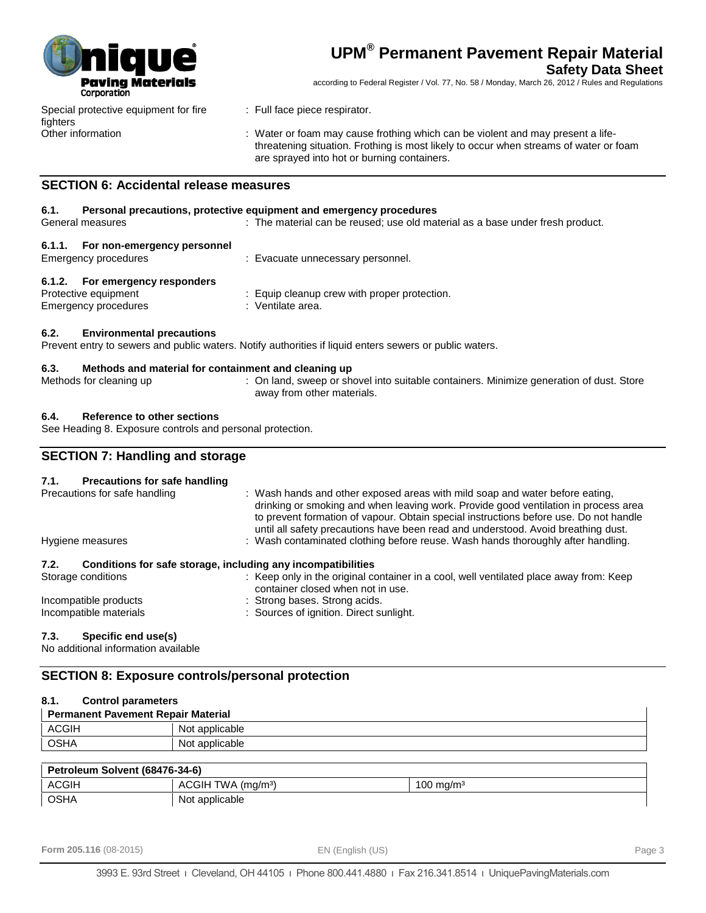

## **Safety Data Sheet**

according to Federal Register / Vol. 77, No. 58 / Monday, March 26, 2012 / Rules and Regulations

Special protective equipment for fire fighters

- : Full face piece respirator.
- Other information : Water or foam may cause frothing which can be violent and may present a lifethreatening situation. Frothing is most likely to occur when streams of water or foam are sprayed into hot or burning containers.

## **SECTION 6: Accidental release measures**

#### **6.1. Personal precautions, protective equipment and emergency procedures**

General measures **interpretatal can be reused; use old material as a base under fresh product.** 

| 6.1.1. For non-emergency personnel<br>Emergency procedures | : Evacuate unnecessary personnel.            |
|------------------------------------------------------------|----------------------------------------------|
| 6.1.2. For emergency responders                            |                                              |
| Protective equipment                                       | : Equip cleanup crew with proper protection. |
| Emergency procedures                                       | : Ventilate area.                            |

#### **6.2. Environmental precautions**

Prevent entry to sewers and public waters. Notify authorities if liquid enters sewers or public waters.

#### **6.3. Methods and material for containment and cleaning up**

Methods for cleaning up : On land, sweep or shovel into suitable containers. Minimize generation of dust. Store away from other materials.

#### **6.4. Reference to other sections**

See Heading 8. Exposure controls and personal protection.

## **SECTION 7: Handling and storage**

| <b>Precautions for safe handling</b><br>7.1. |                                                                                                                                                                                                                                                                                                                                                   |
|----------------------------------------------|---------------------------------------------------------------------------------------------------------------------------------------------------------------------------------------------------------------------------------------------------------------------------------------------------------------------------------------------------|
| Precautions for safe handling                | : Wash hands and other exposed areas with mild soap and water before eating,<br>drinking or smoking and when leaving work. Provide good ventilation in process area<br>to prevent formation of vapour. Obtain special instructions before use. Do not handle<br>until all safety precautions have been read and understood. Avoid breathing dust. |
| Hygiene measures                             | : Wash contaminated clothing before reuse. Wash hands thoroughly after handling.                                                                                                                                                                                                                                                                  |
| 7.2.                                         | Conditions for safe storage, including any incompatibilities                                                                                                                                                                                                                                                                                      |
| Storage conditions                           | : Keep only in the original container in a cool, well ventilated place away from: Keep<br>container closed when not in use.                                                                                                                                                                                                                       |
| Incompatible products                        | : Strong bases. Strong acids.                                                                                                                                                                                                                                                                                                                     |
| Incompatible materials                       | : Sources of ignition. Direct sunlight.                                                                                                                                                                                                                                                                                                           |

#### **7.3. Specific end use(s)**

No additional information available

## **SECTION 8: Exposure controls/personal protection**

| 8.1.<br><b>Control parameters</b>         |                                |                       |
|-------------------------------------------|--------------------------------|-----------------------|
| <b>Permanent Pavement Repair Material</b> |                                |                       |
| <b>ACGIH</b>                              | Not applicable                 |                       |
| <b>OSHA</b>                               | Not applicable                 |                       |
|                                           |                                |                       |
| Petroleum Solvent (68476-34-6)            |                                |                       |
| <b>ACGIH</b>                              | ACGIH TWA (mg/m <sup>3</sup> ) | 100 mg/m <sup>3</sup> |
| <b>OSHA</b>                               | Not applicable                 |                       |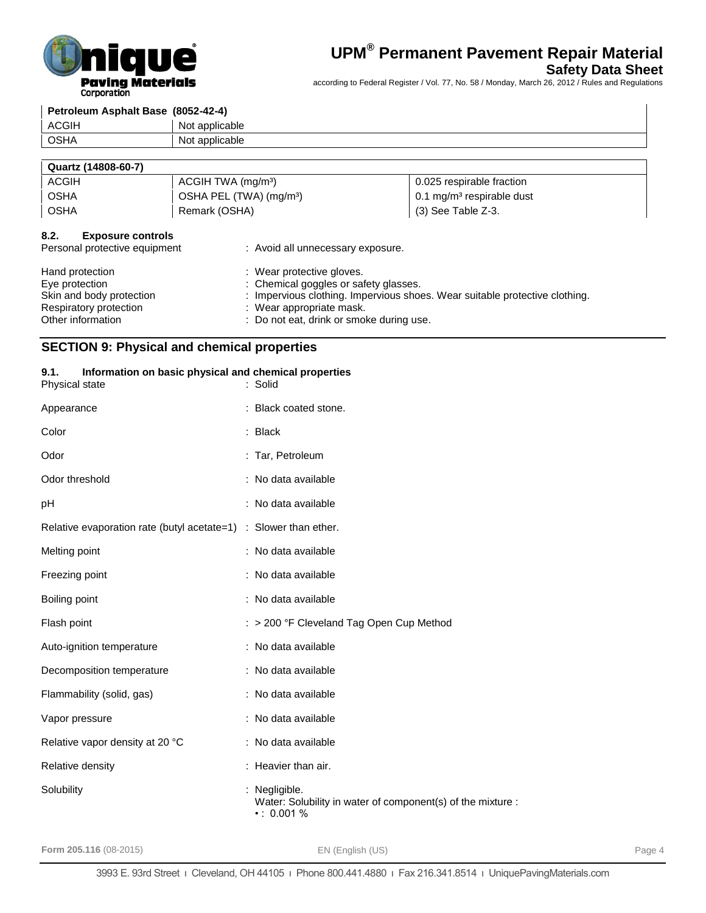

## **Safety Data Sheet**

according to Federal Register / Vol. 77, No. 58 / Monday, March 26, 2012 / Rules and Regulations

| Petroleum Asphalt Base (8052-42-4) |                |
|------------------------------------|----------------|
| <b>ACGIH</b>                       | Not applicable |
| I OSHA                             | Not applicable |
|                                    |                |

## **Quartz (14808-60-7)** ACGIH ACGIH TWA (mg/m<sup>3</sup>) and a control of the set of the distribution of the distribution of the distribution of the distribution of the distribution of the distribution of the distribution of the distribution of the dist OSHA CSHA PEL (TWA) (mg/m<sup>3</sup>) 0.1 mg/m<sup>3</sup> respirable dust OSHA Remark (OSHA) (3) See Table Z-3.

#### **8.2. Exposure controls**

| Personal protective equipment | : Avoid all unnecessary exposure.                                           |
|-------------------------------|-----------------------------------------------------------------------------|
| Hand protection               | : Wear protective gloves.                                                   |
| Eye protection                | : Chemical goggles or safety glasses.                                       |
| Skin and body protection      | : Impervious clothing. Impervious shoes. Wear suitable protective clothing. |
| Respiratory protection        | : Wear appropriate mask.                                                    |
| Other information             | : Do not eat, drink or smoke during use.                                    |

## **SECTION 9: Physical and chemical properties**

Relative density **in the case of the Relative density**  $\cdot$  Heavier than air.

Solubility : Negligible.

# **9.1. Information on basic physical and chemical properties** Physical state : Solid Appearance : Black coated stone. Color : Black Odor : Tar, Petroleum Odor threshold : No data available : pH : No data available Relative evaporation rate (butyl acetate=1) : Slower than ether. Melting point **in the case of the case of the case of the case of the case of the case of the case of the case of the case of the case of the case of the case of the case of the case of the case of the case of the case of** Freezing point : No data available Boiling point : No data available Flash point **Flash point** : > 200 °F Cleveland Tag Open Cup Method Auto-ignition temperature : No data available Decomposition temperature : No data available Flammability (solid, gas) : No data available Vapor pressure : No data available Relative vapor density at 20 °C : No data available

 $• : 0.001 %$ 

Water: Solubility in water of component(s) of the mixture :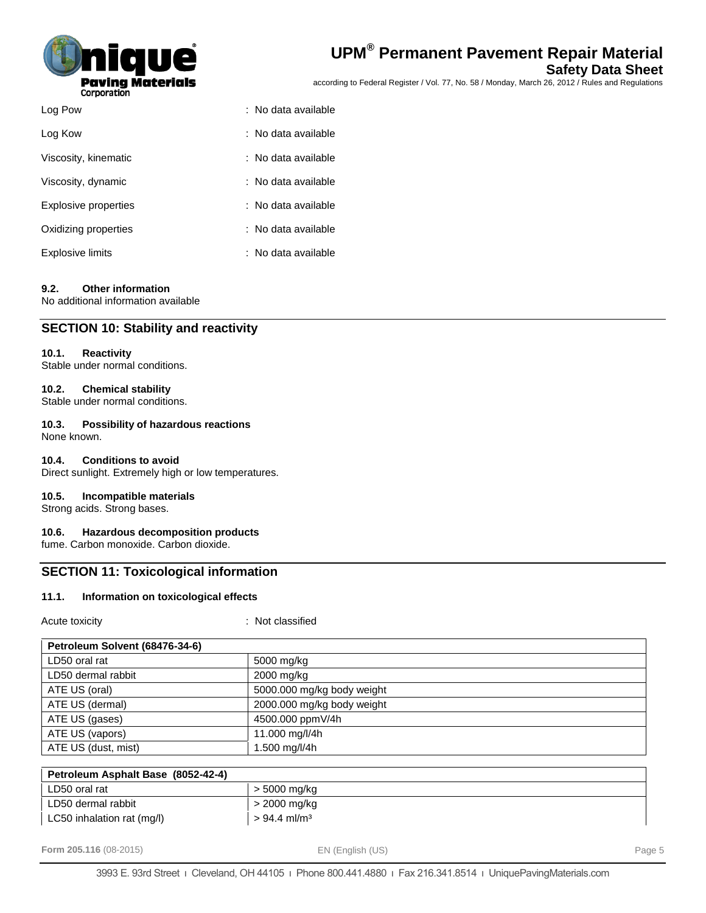

| <b>UPM<sup>®</sup> Permanent Pavement Repair Materia!</b> |
|-----------------------------------------------------------|
|-----------------------------------------------------------|

## **Safety Data Sheet**

according to Federal Register / Vol. 77, No. 58 / Monday, March 26, 2012 / Rules and Regulations

| Log Pow              | : No data available |
|----------------------|---------------------|
| Log Kow              | : No data available |
| Viscosity, kinematic | : No data available |
| Viscosity, dynamic   | : No data available |
| Explosive properties | : No data available |
| Oxidizing properties | : No data available |
| Explosive limits     | : No data available |

#### **9.2. Other information**

No additional information available

## **SECTION 10: Stability and reactivity**

#### **10.1. Reactivity**

Stable under normal conditions.

#### **10.2. Chemical stability**

Stable under normal conditions.

## **10.3. Possibility of hazardous reactions**

None known.

#### **10.4. Conditions to avoid**

Direct sunlight. Extremely high or low temperatures.

#### **10.5. Incompatible materials**

Strong acids. Strong bases.

#### **10.6. Hazardous decomposition products**

fume. Carbon monoxide. Carbon dioxide.

## **SECTION 11: Toxicological information**

LC50 inhalation rat  $(mg/l)$   $> 94.4$  ml/m<sup>3</sup>

#### **11.1. Information on toxicological effects**

Acute toxicity **in the case of the CALC CONTEX** : Not classified

| Petroleum Solvent (68476-34-6)     |                            |  |
|------------------------------------|----------------------------|--|
| LD50 oral rat                      | 5000 mg/kg                 |  |
| LD50 dermal rabbit                 | 2000 mg/kg                 |  |
| ATE US (oral)                      | 5000.000 mg/kg body weight |  |
| ATE US (dermal)                    | 2000.000 mg/kg body weight |  |
| ATE US (gases)                     | 4500.000 ppmV/4h           |  |
| ATE US (vapors)                    | 11.000 mg/l/4h             |  |
| ATE US (dust, mist)                | 1.500 mg/l/4h              |  |
|                                    |                            |  |
| Petroleum Asphalt Base (8052-42-4) |                            |  |
| LD50 oral rat                      | > 5000 mg/kg               |  |
| LD50 dermal rabbit                 | > 2000 mg/kg               |  |

**Form 205.116** (08-2015) **Page 5 EN (English (US) EN** (English (US)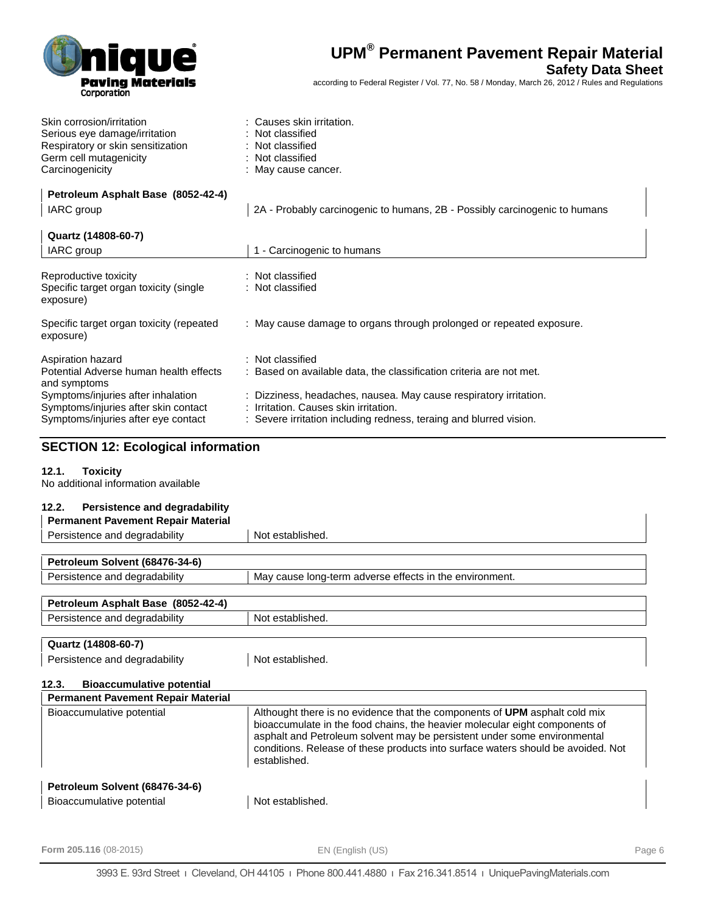

**Safety Data Sheet**

according to Federal Register / Vol. 77, No. 58 / Monday, March 26, 2012 / Rules and Regulations

| Skin corrosion/irritation         | : Causes skin irritation. |
|-----------------------------------|---------------------------|
| Serious eye damage/irritation     | : Not classified          |
| Respiratory or skin sensitization | : Not classified          |
| Germ cell mutagenicity            | : Not classified          |
| Carcinogenicity                   | : May cause cancer.       |

| Petroleum Asphalt Base (8052-42-4)                                                                                |                                                                                                                                                                                  |
|-------------------------------------------------------------------------------------------------------------------|----------------------------------------------------------------------------------------------------------------------------------------------------------------------------------|
| IARC group                                                                                                        | 2A - Probably carcinogenic to humans, 2B - Possibly carcinogenic to humans                                                                                                       |
| Quartz (14808-60-7)                                                                                               |                                                                                                                                                                                  |
| <b>IARC</b> group                                                                                                 | - Carcinogenic to humans                                                                                                                                                         |
| Reproductive toxicity<br>Specific target organ toxicity (single<br>exposure)                                      | : Not classified<br>: Not classified                                                                                                                                             |
| Specific target organ toxicity (repeated<br>exposure)                                                             | : May cause damage to organs through prolonged or repeated exposure.                                                                                                             |
| Aspiration hazard<br>Potential Adverse human health effects<br>and symptoms                                       | : Not classified<br>: Based on available data, the classification criteria are not met.                                                                                          |
| Symptoms/injuries after inhalation<br>Symptoms/injuries after skin contact<br>Symptoms/injuries after eye contact | : Dizziness, headaches, nausea. May cause respiratory irritation.<br>: Irritation. Causes skin irritation.<br>: Severe irritation including redness, teraing and blurred vision. |

# **SECTION 12: Ecological information**

### **12.1. Toxicity**

No additional information available

| Persistence and degradability<br>12.2.    |                                                         |  |  |
|-------------------------------------------|---------------------------------------------------------|--|--|
| <b>Permanent Pavement Repair Material</b> |                                                         |  |  |
| Persistence and degradability             | Not established.                                        |  |  |
|                                           |                                                         |  |  |
| Petroleum Solvent (68476-34-6)            |                                                         |  |  |
| Persistence and degradability             | May cause long-term adverse effects in the environment. |  |  |
|                                           |                                                         |  |  |
| Petroleum Asphalt Base (8052-42-4)        |                                                         |  |  |
| Persistence and degradability             | Not established.                                        |  |  |
|                                           |                                                         |  |  |
| Quartz (14808-60-7)                       |                                                         |  |  |
| Persistence and degradability             | Not established.                                        |  |  |
| 122<br>Diagonumulativa natantial          |                                                         |  |  |

| ـ د.ع.<br><b>DIOACCUMULATIVE DOTENTIAL</b>                                      |                                                                                                                                                                                                                                                                                                                                           |
|---------------------------------------------------------------------------------|-------------------------------------------------------------------------------------------------------------------------------------------------------------------------------------------------------------------------------------------------------------------------------------------------------------------------------------------|
| <b>Permanent Pavement Repair Material</b>                                       |                                                                                                                                                                                                                                                                                                                                           |
| Bioaccumulative potential                                                       | Althought there is no evidence that the components of UPM asphalt cold mix<br>bioaccumulate in the food chains, the heavier molecular eight components of<br>asphalt and Petroleum solvent may be persistent under some environmental<br>conditions. Release of these products into surface waters should be avoided. Not<br>established. |
|                                                                                 |                                                                                                                                                                                                                                                                                                                                           |
| $R_{\text{eff}}$ and $R_{\text{eff}}$ and $R_{\text{eff}}$ and $R_{\text{eff}}$ |                                                                                                                                                                                                                                                                                                                                           |

| Petroleum Solvent (68476-34-6) |                  |
|--------------------------------|------------------|
| Bioaccumulative potential      | Not established. |

**Form 205.116** (08-2015) **EN (English (US) EN** (English (US)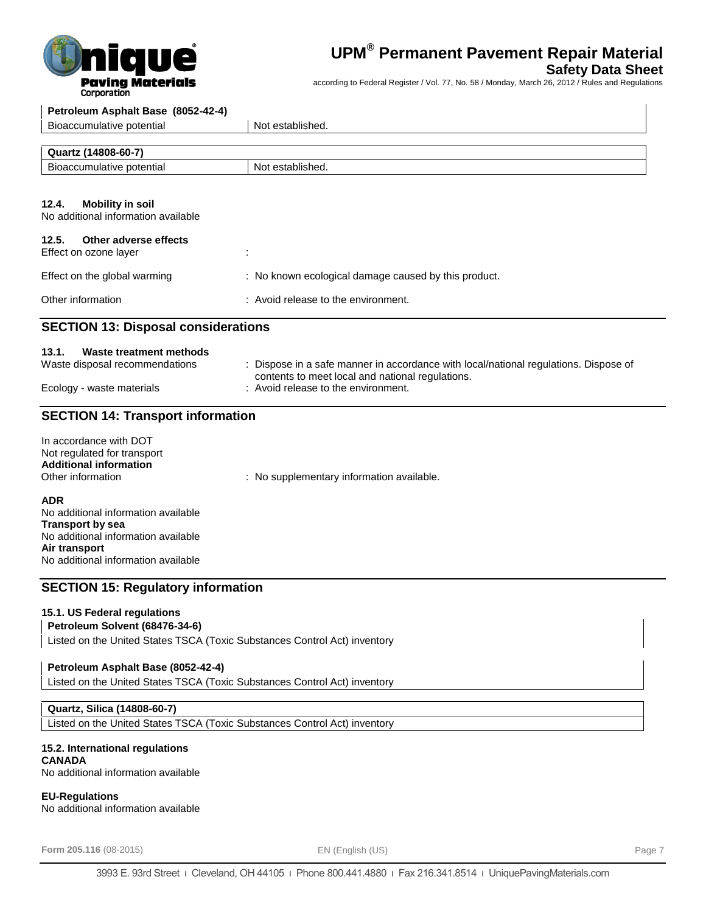

## **Safety Data Sheet**

according to Federal Register / Vol. 77, No. 58 / Monday, March 26, 2012 / Rules and Regulations

| corporation                                                                                                 |                                                                                                                                                                                 |
|-------------------------------------------------------------------------------------------------------------|---------------------------------------------------------------------------------------------------------------------------------------------------------------------------------|
| Petroleum Asphalt Base (8052-42-4)                                                                          |                                                                                                                                                                                 |
| Bioaccumulative potential                                                                                   | Not established.                                                                                                                                                                |
| Quartz (14808-60-7)                                                                                         |                                                                                                                                                                                 |
| Bioaccumulative potential                                                                                   | Not established.                                                                                                                                                                |
| 12.4.<br><b>Mobility in soil</b><br>No additional information available                                     |                                                                                                                                                                                 |
| 12.5.<br>Other adverse effects<br>Effect on ozone layer                                                     |                                                                                                                                                                                 |
| Effect on the global warming                                                                                | : No known ecological damage caused by this product.                                                                                                                            |
| Other information                                                                                           | : Avoid release to the environment.                                                                                                                                             |
| <b>SECTION 13: Disposal considerations</b>                                                                  |                                                                                                                                                                                 |
| 13.1.<br>Waste treatment methods<br>Waste disposal recommendations<br>Ecology - waste materials             | : Dispose in a safe manner in accordance with local/national regulations. Dispose of<br>contents to meet local and national regulations.<br>: Avoid release to the environment. |
| <b>SECTION 14: Transport information</b>                                                                    |                                                                                                                                                                                 |
| In accordance with DOT<br>Not regulated for transport<br><b>Additional information</b><br>Other information | : No supplementary information available.                                                                                                                                       |
| <b>ADR</b>                                                                                                  |                                                                                                                                                                                 |

No additional information available **Transport by sea** No additional information available **Air transport** No additional information available

## **SECTION 15: Regulatory information**

#### **15.1. US Federal regulations**

## **Petroleum Solvent (68476-34-6)**

Listed on the United States TSCA (Toxic Substances Control Act) inventory

## **Petroleum Asphalt Base (8052-42-4)**

Listed on the United States TSCA (Toxic Substances Control Act) inventory

#### **Quartz, Silica (14808-60-7)**

Listed on the United States TSCA (Toxic Substances Control Act) inventory

#### **15.2. International regulations**

**CANADA** No additional information available

#### **EU-Regulations**

No additional information available

**Form 205.116** (08-2015) **Page 7 EN (English (US) EN** (English (US)